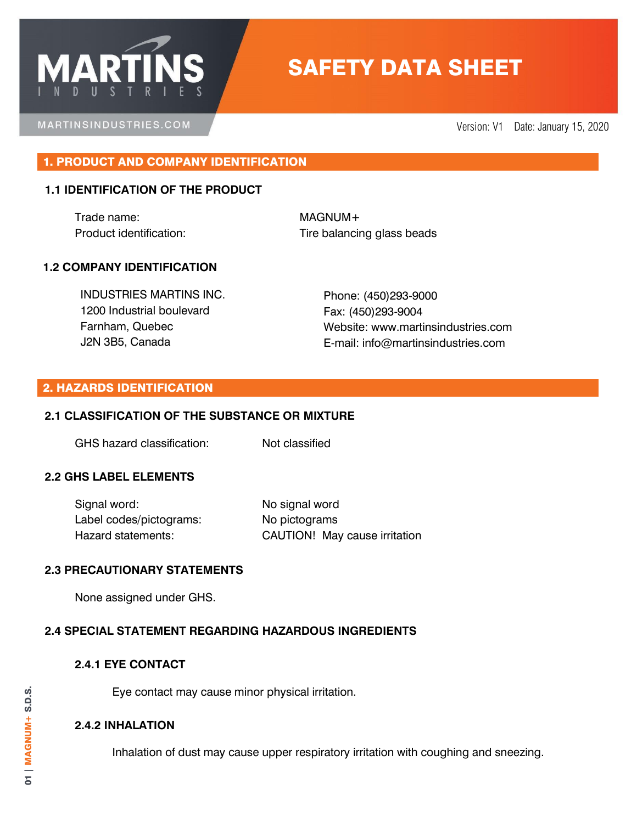# SAFETY DATA SHEET

MARTINSINDUSTRIES.COM

**MARTI** 

Version: V1 Date: January 15, 2020

# 1. PRODUCT AND COMPANY IDENTIFICATION

## **1.1 IDENTIFICATION OF THE PRODUCT**

Trade name: MAGNUM+

Product identification: Tire balancing glass beads

## **1.2 COMPANY IDENTIFICATION**

INDUSTRIES MARTINS INC. 1200 Industrial boulevard Farnham, Quebec J2N 3B5, Canada

Phone: (450)293-9000 Fax: (450)293-9004 Website: www.martinsindustries.com E-mail: info@martinsindustries.com

#### 2. HAZARDS IDENTIFICATION

## **2.1 CLASSIFICATION OF THE SUBSTANCE OR MIXTURE**

GHS hazard classification: Not classified

## **2.2 GHS LABEL ELEMENTS**

Signal word: No signal word Label codes/pictograms: No pictograms

Hazard statements: CAUTION! May cause irritation

## **2.3 PRECAUTIONARY STATEMENTS**

None assigned under GHS.

## **2.4 SPECIAL STATEMENT REGARDING HAZARDOUS INGREDIENTS**

## **2.4.1 EYE CONTACT**

Eye contact may cause minor physical irritation.

## **2.4.2 INHALATION**

Inhalation of dust may cause upper respiratory irritation with coughing and sneezing.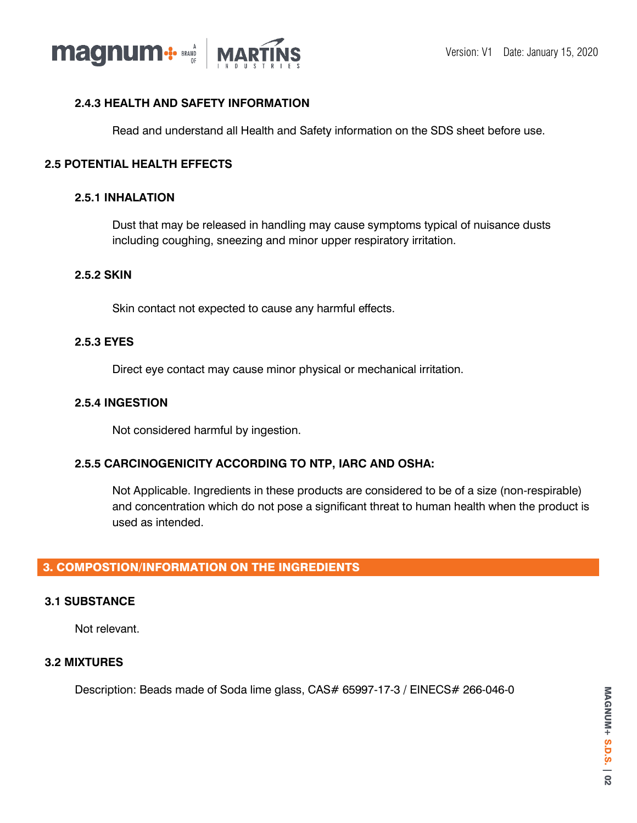

# **2.4.3 HEALTH AND SAFETY INFORMATION**

Read and understand all Health and Safety information on the SDS sheet before use.

## **2.5 POTENTIAL HEALTH EFFECTS**

#### **2.5.1 INHALATION**

Dust that may be released in handling may cause symptoms typical of nuisance dusts including coughing, sneezing and minor upper respiratory irritation.

## **2.5.2 SKIN**

Skin contact not expected to cause any harmful effects.

#### **2.5.3 EYES**

Direct eye contact may cause minor physical or mechanical irritation.

## **2.5.4 INGESTION**

Not considered harmful by ingestion.

## **2.5.5 CARCINOGENICITY ACCORDING TO NTP, IARC AND OSHA:**

Not Applicable. Ingredients in these products are considered to be of a size (non-respirable) and concentration which do not pose a significant threat to human health when the product is used as intended.

# 3. COMPOSTION/INFORMATION ON THE INGREDIENTS

## **3.1 SUBSTANCE**

Not relevant.

## **3.2 MIXTURES**

Description: Beads made of Soda lime glass, CAS# 65997-17-3 / EINECS# 266-046-0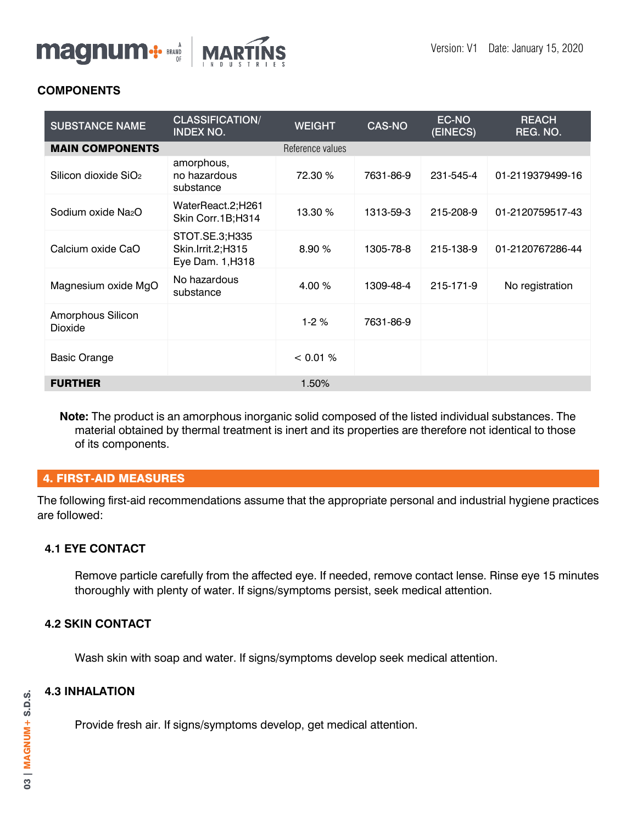

# **COMPONENTS**

| <b>SUBSTANCE NAME</b>            | <b>CLASSIFICATION/</b><br><b>INDEX NO.</b>              | <b>WEIGHT</b>    | <b>CAS-NO</b> | EC-NO<br>(EINECS) | <b>REACH</b><br>REG. NO. |
|----------------------------------|---------------------------------------------------------|------------------|---------------|-------------------|--------------------------|
| <b>MAIN COMPONENTS</b>           |                                                         | Reference values |               |                   |                          |
| Silicon dioxide SiO <sub>2</sub> | amorphous,<br>no hazardous<br>substance                 | 72.30 %          | 7631-86-9     | 231-545-4         | 01-2119379499-16         |
| Sodium oxide Na <sub>2</sub> O   | WaterReact.2;H261<br>Skin Corr.1B;H314                  | 13.30 %          | 1313-59-3     | 215-208-9         | 01-2120759517-43         |
| Calcium oxide CaO                | STOT.SE.3;H335<br>Skin.lrrit.2;H315<br>Eye Dam. 1, H318 | 8.90%            | 1305-78-8     | 215-138-9         | 01-2120767286-44         |
| Magnesium oxide MgO              | No hazardous<br>substance                               | 4.00 %           | 1309-48-4     | 215-171-9         | No registration          |
| Amorphous Silicon<br>Dioxide     |                                                         | $1-2%$           | 7631-86-9     |                   |                          |
| <b>Basic Orange</b>              |                                                         | < 0.01 %         |               |                   |                          |
| <b>FURTHER</b>                   |                                                         | 1.50%            |               |                   |                          |

**Note:** The product is an amorphous inorganic solid composed of the listed individual substances. The material obtained by thermal treatment is inert and its properties are therefore not identical to those of its components.

# 4. FIRST-AID MEASURES

The following first-aid recommendations assume that the appropriate personal and industrial hygiene practices are followed:

# **4.1 EYE CONTACT**

Remove particle carefully from the affected eye. If needed, remove contact lense. Rinse eye 15 minutes thoroughly with plenty of water. If signs/symptoms persist, seek medical attention.

# **4.2 SKIN CONTACT**

Wash skin with soap and water. If signs/symptoms develop seek medical attention.

# **4.3 INHALATION**

Provide fresh air. If signs/symptoms develop, get medical attention.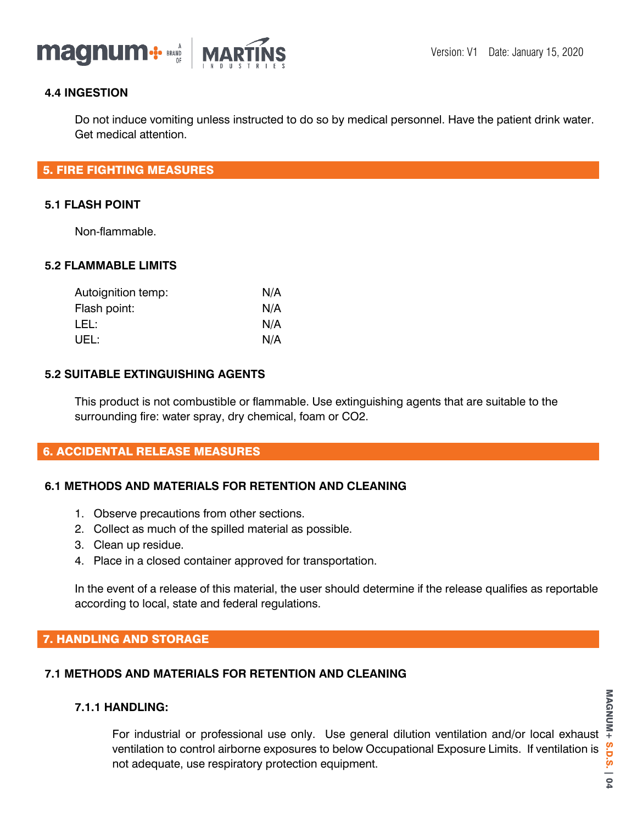

## **4.4 INGESTION**

Do not induce vomiting unless instructed to do so by medical personnel. Have the patient drink water. Get medical attention.

## 5. FIRE FIGHTING MEASURES

#### **5.1 FLASH POINT**

Non-flammable.

## **5.2 FLAMMABLE LIMITS**

| Autoignition temp: | N/A |
|--------------------|-----|
| Flash point:       | N/A |
| LEL:               | N/A |
| UEL:               | N/A |

#### **5.2 SUITABLE EXTINGUISHING AGENTS**

This product is not combustible or flammable. Use extinguishing agents that are suitable to the surrounding fire: water spray, dry chemical, foam or CO2.

## 6. ACCIDENTAL RELEASE MEASURES

## **6.1 METHODS AND MATERIALS FOR RETENTION AND CLEANING**

- 1. Observe precautions from other sections.
- 2. Collect as much of the spilled material as possible.
- 3. Clean up residue.
- 4. Place in a closed container approved for transportation.

In the event of a release of this material, the user should determine if the release qualifies as reportable according to local, state and federal regulations.

# 7. HANDLING AND STORAGE

## **7.1 METHODS AND MATERIALS FOR RETENTION AND CLEANING**

#### **7.1.1 HANDLING:**

For industrial or professional use only. Use general dilution ventilation and/or local exhaust ventilation to control airborne exposures to below Occupational Exposure Limits. If ventilation is not adequate, use respiratory protection equipment.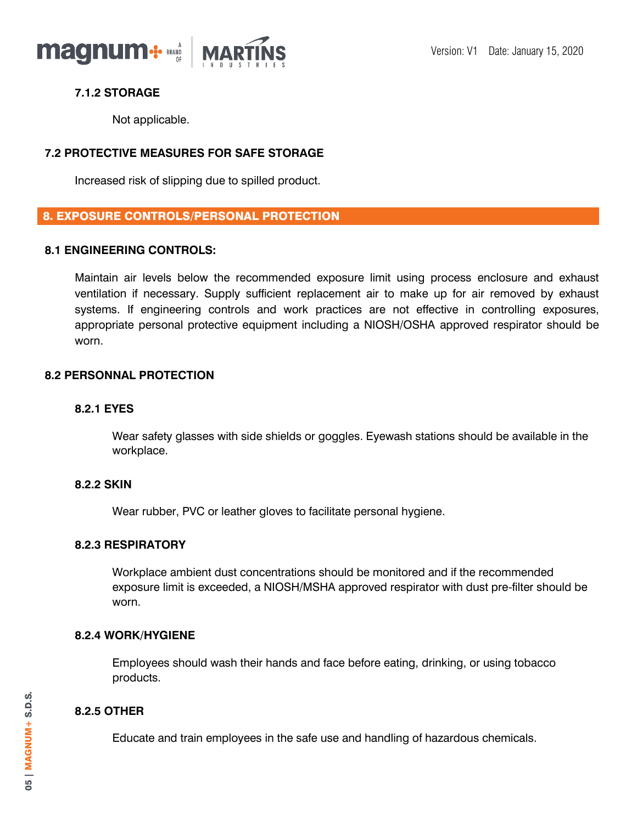

# **7.1.2 STORAGE**

Not applicable.

# **7.2 PROTECTIVE MEASURES FOR SAFE STORAGE**

Increased risk of slipping due to spilled product.

# 8. EXPOSURE CONTROLS/PERSONAL PROTECTION

## **8.1 ENGINEERING CONTROLS:**

Maintain air levels below the recommended exposure limit using process enclosure and exhaust ventilation if necessary. Supply sufficient replacement air to make up for air removed by exhaust systems. If engineering controls and work practices are not effective in controlling exposures, appropriate personal protective equipment including a NIOSH/OSHA approved respirator should be worn.

## **8.2 PERSONNAL PROTECTION**

## **8.2.1 EYES**

Wear safety glasses with side shields or goggles. Eyewash stations should be available in the workplace.

## **8.2.2 SKIN**

Wear rubber, PVC or leather gloves to facilitate personal hygiene.

# **8.2.3 RESPIRATORY**

Workplace ambient dust concentrations should be monitored and if the recommended exposure limit is exceeded, a NIOSH/MSHA approved respirator with dust pre-filter should be worn.

# **8.2.4 WORK/HYGIENE**

Employees should wash their hands and face before eating, drinking, or using tobacco products.

# **8.2.5 OTHER**

Educate and train employees in the safe use and handling of hazardous chemicals.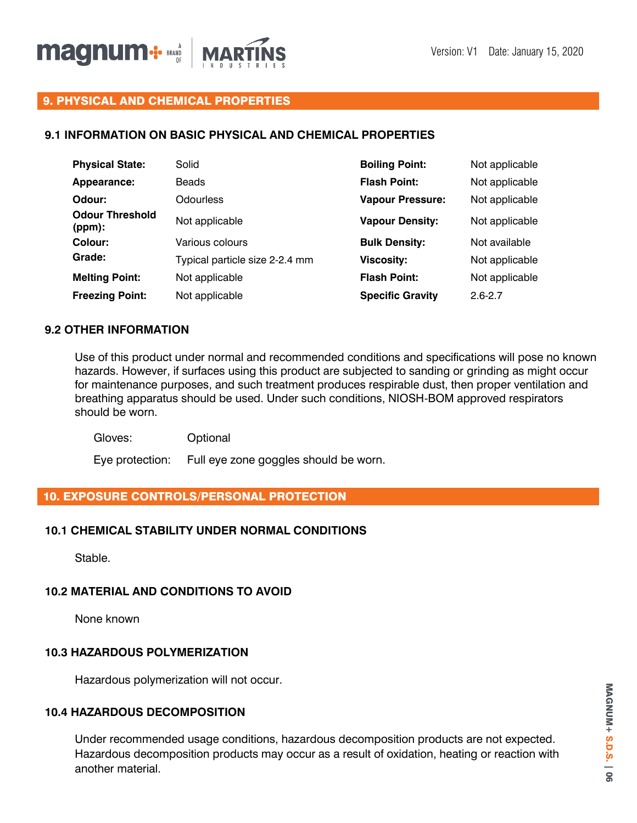

# 9. PHYSICAL AND CHEMICAL PROPERTIES

## **9.1 INFORMATION ON BASIC PHYSICAL AND CHEMICAL PROPERTIES**

| <b>Physical State:</b>           | Solid                          | <b>Boiling Point:</b>   | Not applicable |
|----------------------------------|--------------------------------|-------------------------|----------------|
| Appearance:                      | <b>Beads</b>                   | <b>Flash Point:</b>     | Not applicable |
| Odour:                           | Odourless                      | <b>Vapour Pressure:</b> | Not applicable |
| <b>Odour Threshold</b><br>(ppm): | Not applicable                 | <b>Vapour Density:</b>  | Not applicable |
| Colour:                          | Various colours                | <b>Bulk Density:</b>    | Not available  |
| Grade:                           | Typical particle size 2-2.4 mm | <b>Viscosity:</b>       | Not applicable |
| <b>Melting Point:</b>            | Not applicable                 | <b>Flash Point:</b>     | Not applicable |
| <b>Freezing Point:</b>           | Not applicable                 | <b>Specific Gravity</b> | $2.6 - 2.7$    |

## **9.2 OTHER INFORMATION**

Use of this product under normal and recommended conditions and specifications will pose no known hazards. However, if surfaces using this product are subjected to sanding or grinding as might occur for maintenance purposes, and such treatment produces respirable dust, then proper ventilation and breathing apparatus should be used. Under such conditions, NIOSH-BOM approved respirators should be worn.

Gloves: Optional

Eye protection: Full eye zone goggles should be worn.

# 10. EXPOSURE CONTROLS/PERSONAL PROTECTION

## **10.1 CHEMICAL STABILITY UNDER NORMAL CONDITIONS**

Stable.

## **10.2 MATERIAL AND CONDITIONS TO AVOID**

None known

# **10.3 HAZARDOUS POLYMERIZATION**

Hazardous polymerization will not occur.

## **10.4 HAZARDOUS DECOMPOSITION**

Under recommended usage conditions, hazardous decomposition products are not expected. Hazardous decomposition products may occur as a result of oxidation, heating or reaction with another material.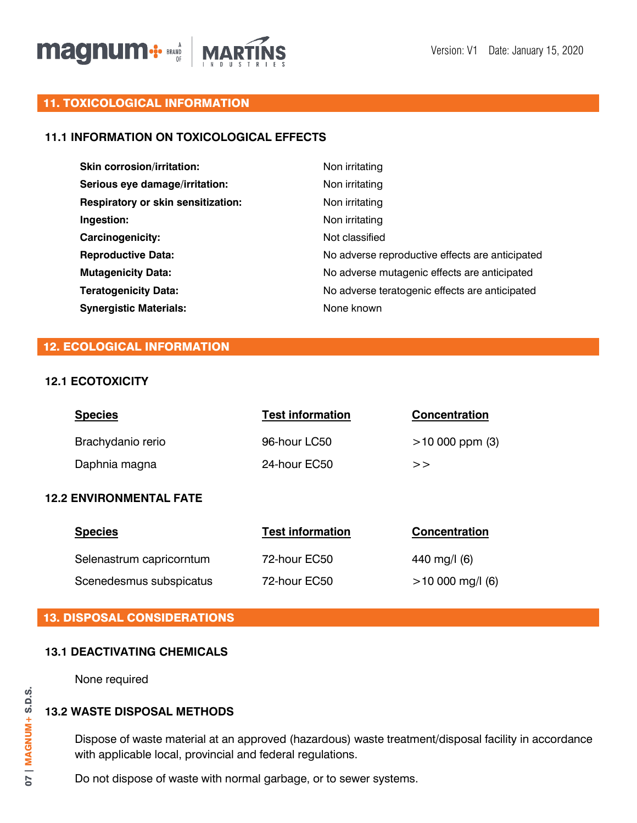

# 11. TOXICOLOGICAL INFORMATION

# **11.1 INFORMATION ON TOXICOLOGICAL EFFECTS**

| <b>Skin corrosion/irritation:</b>         | Non irritating                                  |
|-------------------------------------------|-------------------------------------------------|
| Serious eye damage/irritation:            | Non irritating                                  |
| <b>Respiratory or skin sensitization:</b> | Non irritating                                  |
| Ingestion:                                | Non irritating                                  |
| <b>Carcinogenicity:</b>                   | Not classified                                  |
| <b>Reproductive Data:</b>                 | No adverse reproductive effects are anticipated |
| <b>Mutagenicity Data:</b>                 | No adverse mutagenic effects are anticipated    |
| <b>Teratogenicity Data:</b>               | No adverse teratogenic effects are anticipated  |
| <b>Synergistic Materials:</b>             | None known                                      |

# 12. ECOLOGICAL INFORMATION

## **12.1 ECOTOXICITY**

|                                | <b>Species</b>    | <b>Test information</b> | <b>Concentration</b> |
|--------------------------------|-------------------|-------------------------|----------------------|
|                                | Brachydanio rerio | 96-hour LC50            | $>10000$ ppm (3)     |
|                                | Daphnia magna     | 24-hour EC50            | >                    |
| <b>12.2 ENVIRONMENTAL FATE</b> |                   |                         |                      |

| <b>Species</b>           | <b>Test information</b> | <b>Concentration</b> |
|--------------------------|-------------------------|----------------------|
| Selenastrum capricorntum | 72-hour EC50            | 440 mg/l (6)         |
| Scenedesmus subspicatus  | 72-hour EC50            | $>10000$ mg/l (6)    |

# 13. DISPOSAL CONSIDERATIONS

## **13.1 DEACTIVATING CHEMICALS**

None required

# **13.2 WASTE DISPOSAL METHODS**

Dispose of waste material at an approved (hazardous) waste treatment/disposal facility in accordance with applicable local, provincial and federal regulations.

Do not dispose of waste with normal garbage, or to sewer systems.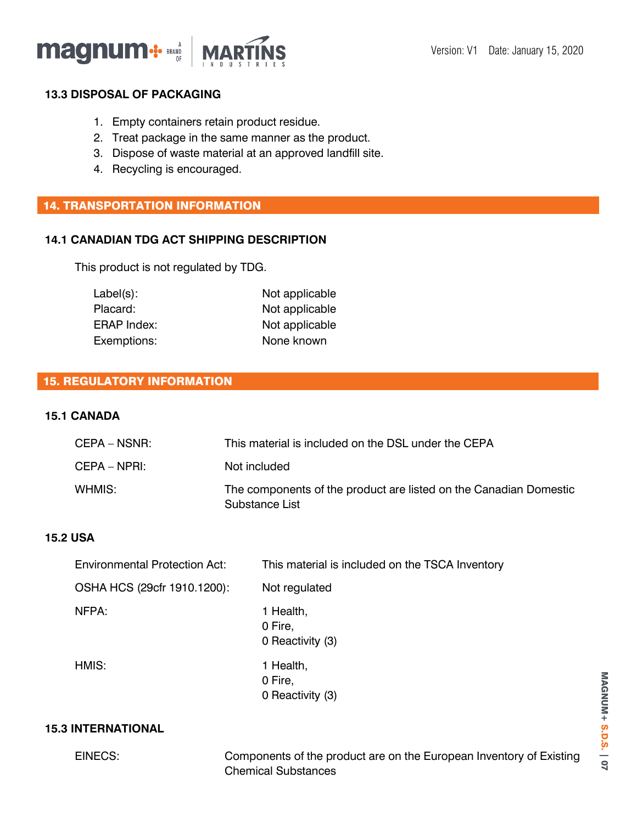

## **13.3 DISPOSAL OF PACKAGING**

- 1. Empty containers retain product residue.
- 2. Treat package in the same manner as the product.
- 3. Dispose of waste material at an approved landfill site.
- 4. Recycling is encouraged.

# 14. TRANSPORTATION INFORMATION

# **14.1 CANADIAN TDG ACT SHIPPING DESCRIPTION**

This product is not regulated by TDG.

| $Label(s)$ :       | Not applicable |
|--------------------|----------------|
| Placard:           | Not applicable |
| <b>ERAP Index:</b> | Not applicable |
| Exemptions:        | None known     |
|                    |                |

# 15. REGULATORY INFORMATION

#### **15.1 CANADA**

| CEPA – NSNR: | This material is included on the DSL under the CEPA                                 |
|--------------|-------------------------------------------------------------------------------------|
| CEPA – NPRI: | Not included                                                                        |
| WHMIS:       | The components of the product are listed on the Canadian Domestic<br>Substance List |

# **15.2 USA**

| <b>Environmental Protection Act:</b> | This material is included on the TSCA Inventory |
|--------------------------------------|-------------------------------------------------|
| OSHA HCS (29cfr 1910.1200):          | Not regulated                                   |
| NFPA:                                | 1 Health,<br>0 Fire,<br>0 Reactivity (3)        |
| HMIS:                                | 1 Health,<br>0 Fire,<br>0 Reactivity (3)        |

# **15.3 INTERNATIONAL**

EINECS: Components of the product are on the European Inventory of Existing Chemical Substances